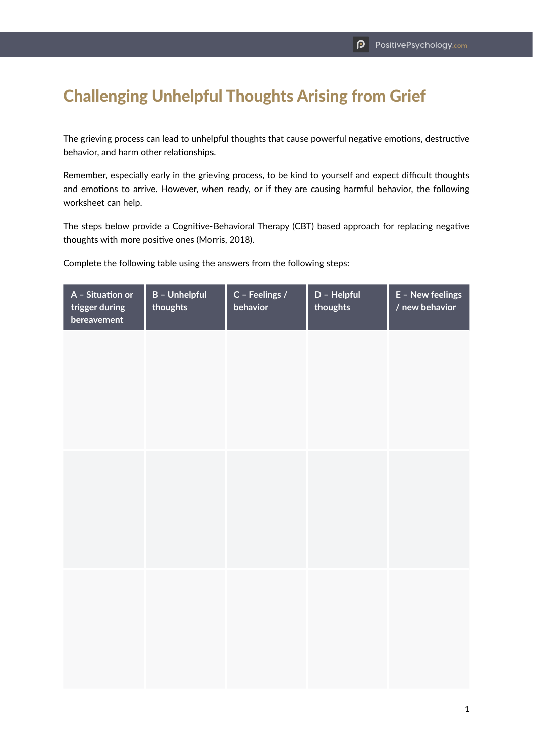## Challenging Unhelpful Thoughts Arising from Grief

The grieving process can lead to unhelpful thoughts that cause powerful negative emotions, destructive behavior, and harm other relationships.

Remember, especially early in the grieving process, to be kind to yourself and expect difficult thoughts and emotions to arrive. However, when ready, or if they are causing harmful behavior, the following worksheet can help.

The steps below provide a Cognitive-Behavioral Therapy (CBT) based approach for replacing negative thoughts with more positive ones (Morris, 2018).

Complete the following table using the answers from the following steps:

| A - Situation or<br>trigger during<br>bereavement | <b>B</b> - Unhelpful<br>thoughts | C - Feelings /<br>behavior | D - Helpful<br>thoughts | E - New feelings<br>/ new behavior |
|---------------------------------------------------|----------------------------------|----------------------------|-------------------------|------------------------------------|
|                                                   |                                  |                            |                         |                                    |
|                                                   |                                  |                            |                         |                                    |
|                                                   |                                  |                            |                         |                                    |
|                                                   |                                  |                            |                         |                                    |
|                                                   |                                  |                            |                         |                                    |
|                                                   |                                  |                            |                         |                                    |
|                                                   |                                  |                            |                         |                                    |
|                                                   |                                  |                            |                         |                                    |
|                                                   |                                  |                            |                         |                                    |